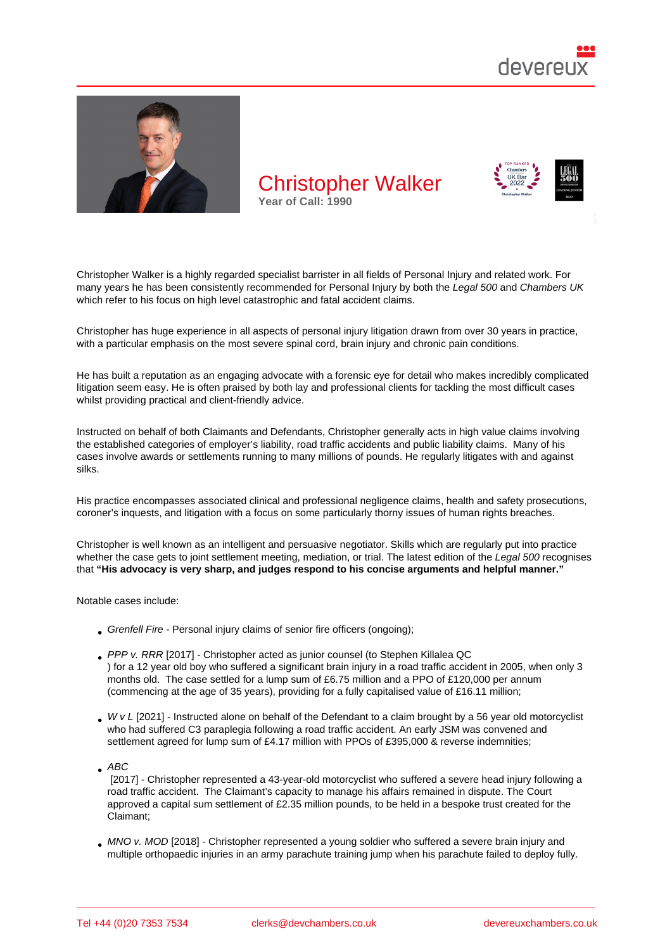# Christopher Walker Year of Call: 1990

Christopher Walker is a highly regarded specialist barrister in all fields of Personal Injury and related work. For many years he has been consistently recommended for Personal Injury by both the Legal 500 and Chambers UK which refer to his focus on high level catastrophic and fatal accident claims.

Christopher has huge experience in all aspects of personal injury litigation drawn from over 30 years in practice, with a particular emphasis on the most severe spinal cord, brain injury and chronic pain conditions.

He has built a reputation as an engaging advocate with a forensic eye for detail who makes incredibly complicated litigation seem easy. He is often praised by both lay and professional clients for tackling the most difficult cases whilst providing practical and client-friendly advice.

Instructed on behalf of both Claimants and Defendants, Christopher generally acts in high value claims involving the established categories of employer's liability, road traffic accidents and public liability claims. Many of his cases involve awards or settlements running to many millions of pounds. He regularly litigates with and against silks.

His practice encompasses associated clinical and professional negligence claims, health and safety prosecutions, coroner's inquests, and litigation with a focus on some particularly thorny issues of human rights breaches.

Christopher is well known as an intelligent and persuasive negotiator. Skills which are regularly put into practice whether the case gets to joint settlement meeting, mediation, or trial. The latest edition of the Legal 500 recognises that "His advocacy is very sharp, and judges respond to his concise arguments and helpful manner."

Notable cases include:

- Grenfell Fire Personal injury claims of senior fire officers (ongoing);
- PPP v. RRR [2017] Christopher acted as junior counsel (to Stephen Killalea QC ) for a 12 year old boy who suffered a significant brain injury in a road traffic accident in 2005, when only 3 months old. The case settled for a lump sum of £6.75 million and a PPO of £120,000 per annum (commencing at the age of 35 years), providing for a fully capitalised value of £16.11 million;
- $\bullet$  [W v L \[2021\]](https://www.devereuxchambers.co.uk/resources/news/view/stephen-killalea-qc-in-16m-settlement-of-child-brain-damage-case) Instructed alone on behalf of the Defendant to [a claim brought by a](https://devereuxchambers.co.uk/barristers/profile/stephen-killalea) 56 year old motorcyclist who had suffered C3 paraplegia following a road traffic accident. An early JSM was convened and settlement agreed for lump sum of £4.17 million with PPOs of £395,000 & reverse indemnities;

ABC

 [2017] - Christopher represented a 43-year-old motorcyclist who suffered a severe head injury following a road traffic accident. The Claimant's capacity to manage his affairs remained in dispute. The Court approved a capital sum settlement of £2.35 million pounds, to be held in a bespoke trust created for the Claimant;

MNO v. MOD [2018] - Christopher represented a young soldier who suffered a severe brain injury and multiple orthopaedic injuries in an army parachute training jump when his parachute failed to deploy fully.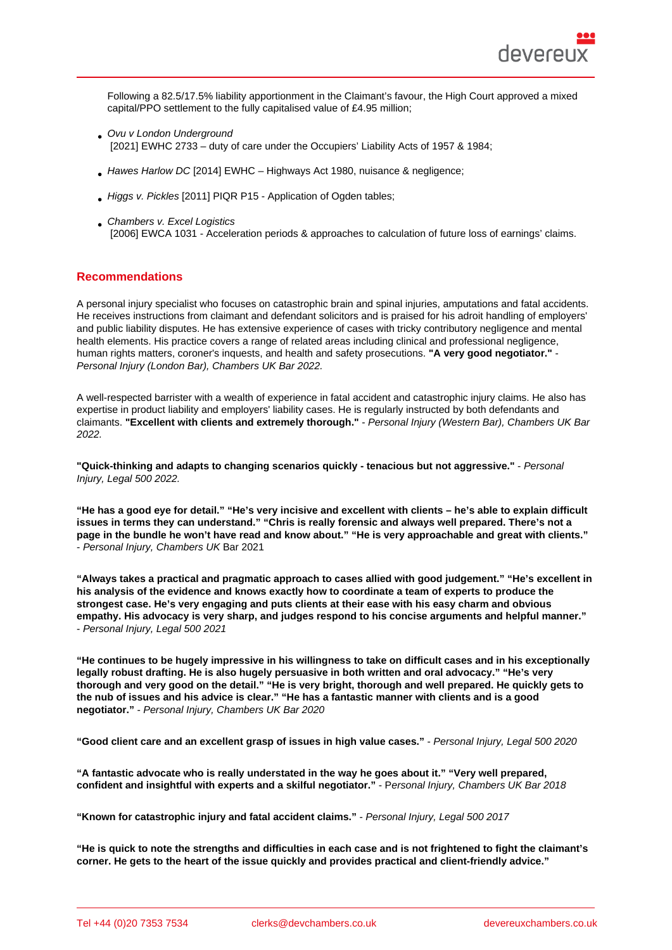Following a 82.5/17.5% liability apportionment in the Claimant's favour, the High Court approved a mixed capital/PPO settlement to the fully capitalised value of £4.95 million;

- Ovu v London Underground [2021] EWHC 2733 – duty of care under the Occupiers' Liability Acts of 1957 & 1984;
- $\bullet$  Hawes Harlow DC [2014] EWHC Highways Act 1980, nuisance & negligence;
- Higgs v. Pickles [2011] PIQR P15 Application of Ogden tables;
- **Chambers v. Excel Logistics** [2006] EWCA 1031 - Acceleration periods & approaches to calculation of future loss of earnings' claims.

## Reco[mmendations](https://www.bailii.org/ew/cases/EWCA/Civ/2006/1031.html)

A personal injury specialist who focuses on catastrophic brain and spinal injuries, amputations and fatal accidents. He receives instructions from claimant and defendant solicitors and is praised for his adroit handling of employers' and public liability disputes. He has extensive experience of cases with tricky contributory negligence and mental health elements. His practice covers a range of related areas including clinical and professional negligence, human rights matters, coroner's inquests, and health and safety prosecutions. "A very good negotiator." Personal Injury (London Bar), Chambers UK Bar 2022.

A well-respected barrister with a wealth of experience in fatal accident and catastrophic injury claims. He also has expertise in product liability and employers' liability cases. He is regularly instructed by both defendants and claimants. "Excellent with clients and extremely thorough." - Personal Injury (Western Bar), Chambers UK Bar 2022.

"Quick-thinking and adapts to changing scenarios quickly - tenacious but not aggressive." - Personal Injury, Legal 500 2022.

"He has a good eye for detail." "He's very incisive and excellent with clients – he's able to explain difficult issues in terms they can understand." "Chris is really forensic and always well prepared. There's not a page in the bundle he won't have read and know about." "He is very approachable and great with clients." - Personal Injury, Chambers UK Bar 2021

"Always takes a practical and pragmatic approach to cases allied with good judgement." "He's excellent in his analysis of the evidence and knows exactly how to coordinate a team of experts to produce the strongest case. He's very engaging and puts clients at their ease with his easy charm and obvious empathy. His advocacy is very sharp, and judges respond to his concise arguments and helpful manner." - Personal Injury, Legal 500 2021

"He continues to be hugely impressive in his willingness to take on difficult cases and in his exceptionally legally robust drafting. He is also hugely persuasive in both written and oral advocacy." "He's very thorough and very good on the detail." "He is very bright, thorough and well prepared. He quickly gets to the nub of issues and his advice is clear." "He has a fantastic manner with clients and is a good negotiator." - Personal Injury, Chambers UK Bar 2020

"Good client care and an excellent grasp of issues in high value cases." - Personal Injury, Legal 500 2020

"A fantastic advocate who is really understated in the way he goes about it." "Very well prepared, confident and insightful with experts and a skilful negotiator." Personal Injury, Chambers UK Bar 2018

"Known for catastrophic injury and fatal accident claims." - Personal Injury, Legal 500 2017

"He is quick to note the strengths and difficulties in each case and is not frightened to fight the claimant's corner. He gets to the heart of the issue quickly and provides practical and client-friendly advice."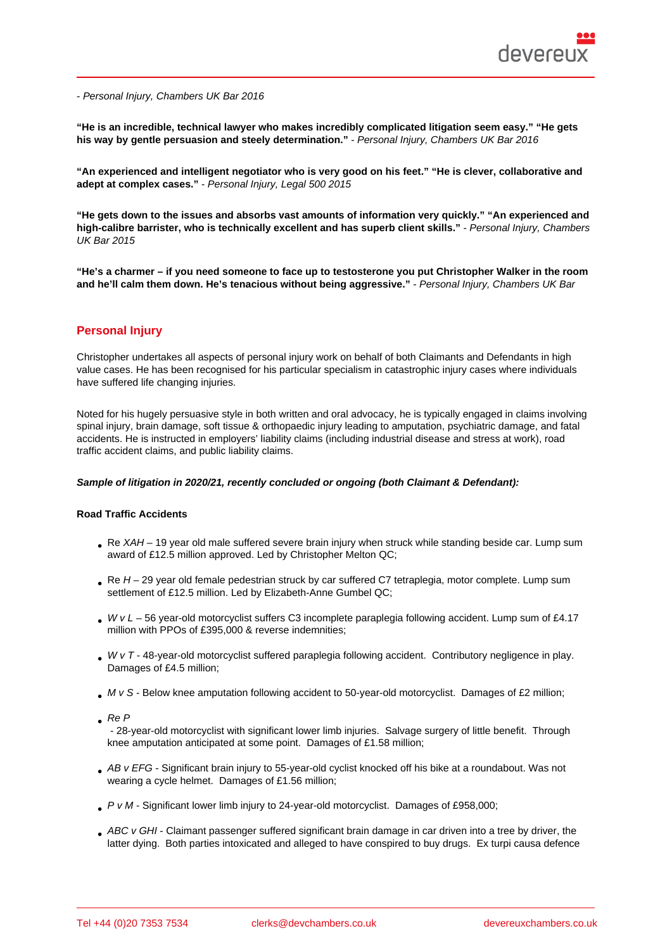- Personal Injury, Chambers UK Bar 2016

"He is an incredible, technical lawyer who makes incredibly complicated litigation seem easy." "He gets his way by gentle persuasion and steely determination." - Personal Injury, Chambers UK Bar 2016

"An experienced and intelligent negotiator who is very good on his feet." "He is clever, collaborative and adept at complex cases." - Personal Injury, Legal 500 2015

"He gets down to the issues and absorbs vast amounts of information very quickly." "An experienced and high-calibre barrister, who is technically excellent and has superb client skills." Personal Injury, Chambers UK Bar 2015

"He's a charmer – if you need someone to face up to testosterone you put Christopher Walker in the room and he'll calm them down. He's tenacious without being aggressive." - Personal Injury, Chambers UK Bar

# Personal Injury

Christopher undertakes all aspects of personal injury work on behalf of both Claimants and Defendants in high value cases. He has been recognised for his particular specialism in catastrophic injury cases where individuals have suffered life changing injuries.

Noted for his hugely persuasive style in both written and oral advocacy, he is typically engaged in claims involving spinal injury, brain damage, soft tissue & orthopaedic injury leading to amputation, psychiatric damage, and fatal accidents. He is instructed in employers' liability claims (including industrial disease and stress at work), road traffic accident claims, and public liability claims.

Sample of litigation in 2020/21, recently concluded or ongoing (both Claimant & Defendant):

Road Traffic Accidents

- Re XAH 19 year old male suffered severe brain injury when struck while standing beside car. Lump sum award of £12.5 million approved. Led by Christopher Melton QC;
- Re H 29 year old female pedestrian struck by car suffered C7 tetraplegia, motor complete. Lump sum settlement of £12.5 million. Led by Elizabeth-Anne Gumbel QC:
- $\bullet$  W v L 56 year-old motorcyclist suffers C3 incomplete paraplegia following accident. Lump sum of £4.17 million with PPOs of £395,000 & reverse indemnities;
- W v T 48-year-old motorcyclist suffered paraplegia following accident. Contributory negligence in play. Damages of £4.5 million;
- M v S Below knee amputation following accident to 50-year-old motorcyclist. Damages of £2 million;
- $RE$  Re P

 - 28-year-old motorcyclist with significant lower limb injuries. Salvage surgery of little benefit. Through knee amputation anticipated at some point. Damages of £1.58 million;

- AB v EFG Significant brain injury to 55-year-old cyclist knocked off his bike at a roundabout. Was not wearing a cycle helmet. Damages of £1.56 million;
- P v M Significant lower limb injury to 24-year-old motorcyclist. Damages of £958,000;
- ABC v GHI Claimant passenger suffered significant brain damage in car driven into a tree by driver, the latter dying. Both parties intoxicated and alleged to have conspired to buy drugs. Ex turpi causa defence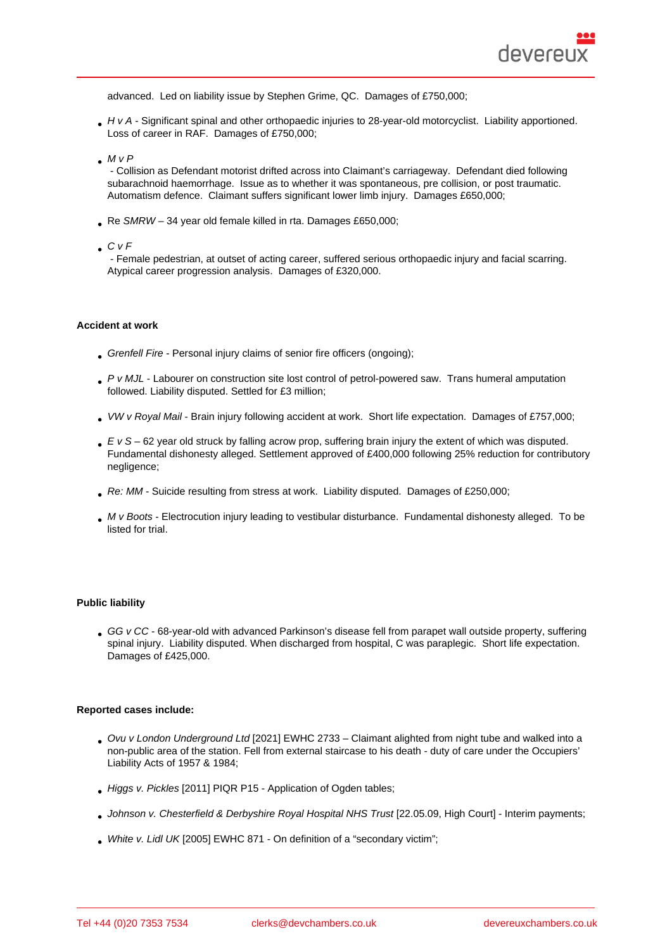advanced. Led on liability issue by Stephen Grime, QC. Damages of £750,000;

H v A - Significant spinal and other orthopaedic injuries to 28-year-old motorcyclist. Liability apportioned. Loss of career in RAF. Damages of £750,000;

 $M \vee P$ 

 - Collision as Defendant motorist drifted across into Claimant's carriageway. Defendant died following subarachnoid haemorrhage. Issue as to whether it was spontaneous, pre collision, or post traumatic. Automatism defence. Claimant suffers significant lower limb injury. Damages £650,000;

- Re SMRW 34 year old female killed in rta. Damages £650,000;
- $\Box$  C v F

 - Female pedestrian, at outset of acting career, suffered serious orthopaedic injury and facial scarring. Atypical career progression analysis. Damages of £320,000.

#### Accident at work

- Grenfell Fire Personal injury claims of senior fire officers (ongoing);
- P v MJL Labourer on construction site lost control of petrol-powered saw. Trans humeral amputation followed. Liability disputed. Settled for £3 million;
- VW v Royal Mail Brain injury following accident at work. Short life expectation. Damages of £757,000;
- E v S 62 year old struck by falling acrow prop, suffering brain injury the extent of which was disputed. Fundamental dishonesty alleged. Settlement approved of £400,000 following 25% reduction for contributory negligence;
- Re: MM Suicide resulting from stress at work. Liability disputed. Damages of £250,000;
- M v Boots Electrocution injury leading to vestibular disturbance. Fundamental dishonesty alleged. To be listed for trial.

#### Public liability

GG v CC - 68-year-old with advanced Parkinson's disease fell from parapet wall outside property, suffering spinal injury. Liability disputed. When discharged from hospital, C was paraplegic. Short life expectation. Damages of £425,000.

#### Reported cases include:

- Ovu v London Underground Ltd [2021] EWHC 2733 Claimant alighted from night tube and walked into a non-public area of the station. Fell from external staircase to his death - duty of care under the Occupiers' Liability Acts of 1957 & 1984;
- Higgs v. Pickles [2011] PIQR P15 Application of Ogden tables;
- Johnson v. Chesterfield & Derbyshire Royal Hospital NHS Trust [22.05.09, High Court] Interim payments;
- White v. Lidl UK [2005] EWHC 871 On definition of a "secondary victim";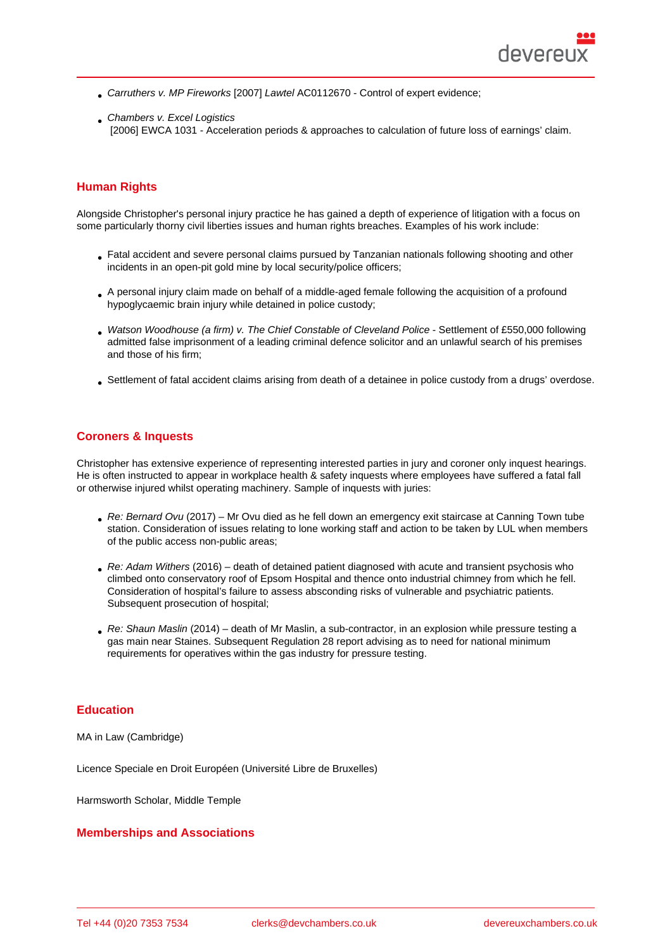- Carruthers v. MP Fireworks [2007] Lawtel AC0112670 Control of expert evidence;
- **Chambers v. Excel Logistics** [2006] EWCA 1031 - Acceleration periods & approaches to calculation of future loss of earnings' claim.

## Human Rights

Alongside Christopher's personal injury practice he has gained a depth of experience of litigation with a focus on some particularly thorny civil liberties issues and human rights breaches. Examples of his work include:

- Fatal accident and severe personal claims pursued by Tanzanian nationals following shooting and other incidents in an open-pit gold mine by local security/police officers;
- A personal injury claim made on behalf of a middle-aged female following the acquisition of a profound hypoglycaemic brain injury while detained in police custody;
- Watson Woodhouse (a firm) v. The Chief Constable of Cleveland Police Settlement of £550,000 following admitted false imprisonment of a leading criminal defence solicitor and an unlawful search of his premises and those of his firm;
- Settlement of fatal accident claims arising from death of a detainee in police custody from a drugs' overdose.

## Coroners & Inquests

Christopher has extensive experience of representing interested parties in jury and coroner only inquest hearings. He is often instructed to appear in workplace health & safety inquests where employees have suffered a fatal fall or otherwise injured whilst operating machinery. Sample of inquests with juries:

- Re: Bernard Ovu (2017) Mr Ovu died as he fell down an emergency exit staircase at Canning Town tube station. Consideration of issues relating to lone working staff and action to be taken by LUL when members of the public access non-public areas;
- Re: Adam Withers (2016) death of detained patient diagnosed with acute and transient psychosis who climbed onto conservatory roof of Epsom Hospital and thence onto industrial chimney from which he fell. Consideration of hospital's failure to assess absconding risks of vulnerable and psychiatric patients. Subsequent prosecution of hospital;
- Re: Shaun Maslin (2014) death of Mr Maslin, a sub-contractor, in an explosion while pressure testing a gas main near Staines. Subsequent Regulation 28 report advising as to need for national minimum requirements for operatives within the gas industry for pressure testing.

## **Education**

MA in Law (Cambridge)

Licence Speciale en Droit Européen (Université Libre de Bruxelles)

Harmsworth Scholar, Middle Temple

#### Memberships and Associations